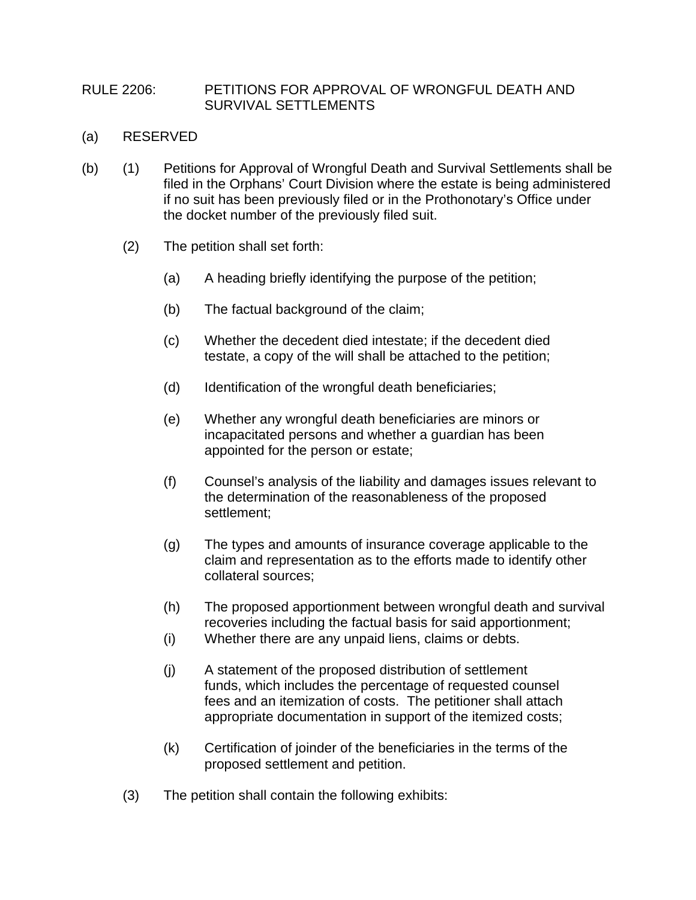## RULE 2206: PETITIONS FOR APPROVAL OF WRONGFUL DEATH AND SURVIVAL SETTLEMENTS

- (a) RESERVED
- (b) (1) Petitions for Approval of Wrongful Death and Survival Settlements shall be filed in the Orphans' Court Division where the estate is being administered if no suit has been previously filed or in the Prothonotary's Office under the docket number of the previously filed suit.
	- (2) The petition shall set forth:
		- (a) A heading briefly identifying the purpose of the petition;
		- (b) The factual background of the claim;
		- (c) Whether the decedent died intestate; if the decedent died testate, a copy of the will shall be attached to the petition;
		- (d) Identification of the wrongful death beneficiaries;
		- (e) Whether any wrongful death beneficiaries are minors or incapacitated persons and whether a guardian has been appointed for the person or estate;
		- (f) Counsel's analysis of the liability and damages issues relevant to the determination of the reasonableness of the proposed settlement;
		- (g) The types and amounts of insurance coverage applicable to the claim and representation as to the efforts made to identify other collateral sources;
		- (h) The proposed apportionment between wrongful death and survival recoveries including the factual basis for said apportionment;
		- (i) Whether there are any unpaid liens, claims or debts.
		- (j) A statement of the proposed distribution of settlement funds, which includes the percentage of requested counsel fees and an itemization of costs. The petitioner shall attach appropriate documentation in support of the itemized costs;
		- (k) Certification of joinder of the beneficiaries in the terms of the proposed settlement and petition.
	- (3) The petition shall contain the following exhibits: